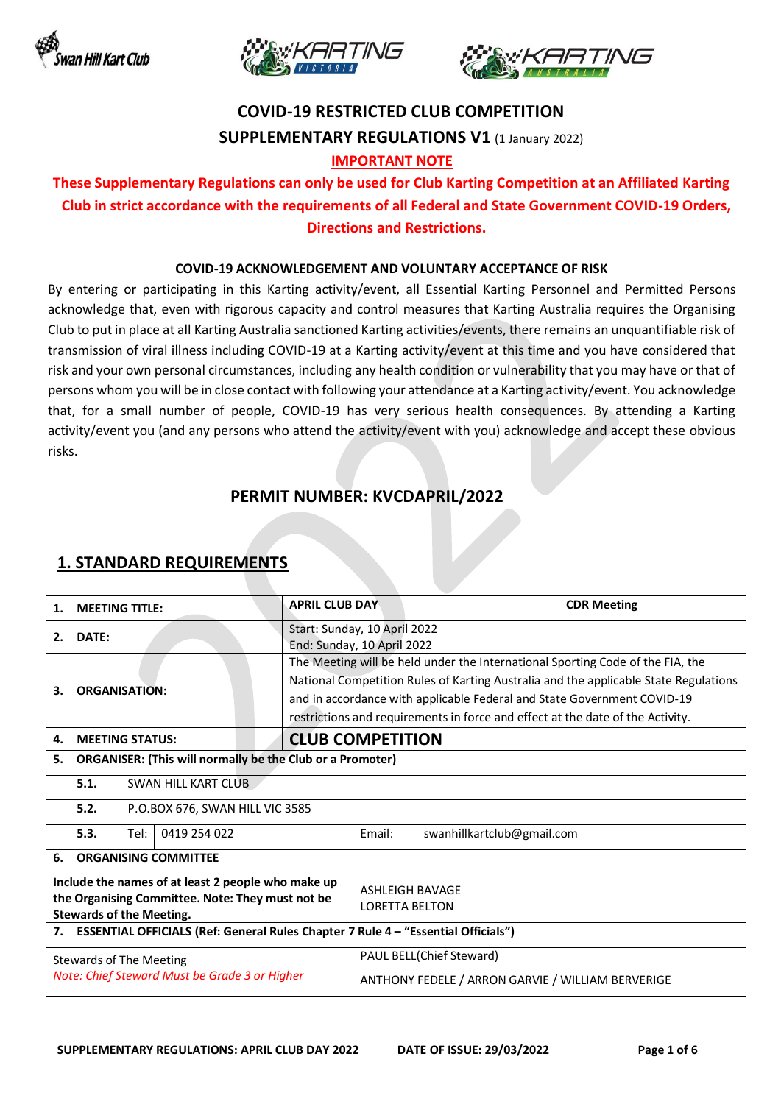





# **COVID-19 RESTRICTED CLUB COMPETITION SUPPLEMENTARY REGULATIONS V1** (1 January 2022)

### **IMPORTANT NOTE**

### **These Supplementary Regulations can only be used for Club Karting Competition at an Affiliated Karting Club in strict accordance with the requirements of all Federal and State Government COVID-19 Orders, Directions and Restrictions.**

#### **COVID-19 ACKNOWLEDGEMENT AND VOLUNTARY ACCEPTANCE OF RISK**

By entering or participating in this Karting activity/event, all Essential Karting Personnel and Permitted Persons acknowledge that, even with rigorous capacity and control measures that Karting Australia requires the Organising Club to put in place at all Karting Australia sanctioned Karting activities/events, there remains an unquantifiable risk of transmission of viral illness including COVID-19 at a Karting activity/event at this time and you have considered that risk and your own personal circumstances, including any health condition or vulnerability that you may have or that of persons whom you will be in close contact with following your attendance at a Karting activity/event. You acknowledge that, for a small number of people, COVID-19 has very serious health consequences. By attending a Karting activity/event you (and any persons who attend the activity/event with you) acknowledge and accept these obvious risks.

### **PERMIT NUMBER: KVCDAPRIL/2022**

# **1. STANDARD REQUIREMENTS**

| <b>MEETING TITLE:</b><br>1.                                                                                                               |                                                                                         | <b>APRIL CLUB DAY</b>                                                                                                                                                                                                                                                                                                               |                                                            |                         | <b>CDR Meeting</b>         |  |  |
|-------------------------------------------------------------------------------------------------------------------------------------------|-----------------------------------------------------------------------------------------|-------------------------------------------------------------------------------------------------------------------------------------------------------------------------------------------------------------------------------------------------------------------------------------------------------------------------------------|------------------------------------------------------------|-------------------------|----------------------------|--|--|
| DATE:<br>2.                                                                                                                               |                                                                                         |                                                                                                                                                                                                                                                                                                                                     | Start: Sunday, 10 April 2022<br>End: Sunday, 10 April 2022 |                         |                            |  |  |
| <b>ORGANISATION:</b><br>З.                                                                                                                |                                                                                         | The Meeting will be held under the International Sporting Code of the FIA, the<br>National Competition Rules of Karting Australia and the applicable State Regulations<br>and in accordance with applicable Federal and State Government COVID-19<br>restrictions and requirements in force and effect at the date of the Activity. |                                                            |                         |                            |  |  |
| 4.                                                                                                                                        | <b>MEETING STATUS:</b>                                                                  |                                                                                                                                                                                                                                                                                                                                     |                                                            | <b>CLUB COMPETITION</b> |                            |  |  |
| 5.                                                                                                                                        |                                                                                         | <b>ORGANISER: (This will normally be the Club or a Promoter)</b>                                                                                                                                                                                                                                                                    |                                                            |                         |                            |  |  |
|                                                                                                                                           | 5.1.                                                                                    | SWAN HILL KART CLUB                                                                                                                                                                                                                                                                                                                 |                                                            |                         |                            |  |  |
|                                                                                                                                           | 5.2.                                                                                    | P.O.BOX 676, SWAN HILL VIC 3585                                                                                                                                                                                                                                                                                                     |                                                            |                         |                            |  |  |
|                                                                                                                                           | 5.3.                                                                                    | 0419 254 022<br>Tel:                                                                                                                                                                                                                                                                                                                |                                                            | Email:                  | swanhillkartclub@gmail.com |  |  |
| 6.                                                                                                                                        | <b>ORGANISING COMMITTEE</b>                                                             |                                                                                                                                                                                                                                                                                                                                     |                                                            |                         |                            |  |  |
| Include the names of at least 2 people who make up<br>the Organising Committee. Note: They must not be<br><b>Stewards of the Meeting.</b> |                                                                                         |                                                                                                                                                                                                                                                                                                                                     | <b>ASHLEIGH BAVAGE</b><br><b>LORETTA BELTON</b>            |                         |                            |  |  |
|                                                                                                                                           | ESSENTIAL OFFICIALS (Ref: General Rules Chapter 7 Rule 4 - "Essential Officials")<br>7. |                                                                                                                                                                                                                                                                                                                                     |                                                            |                         |                            |  |  |
| Stewards of The Meeting                                                                                                                   |                                                                                         |                                                                                                                                                                                                                                                                                                                                     | PAUL BELL(Chief Steward)                                   |                         |                            |  |  |
| Note: Chief Steward Must be Grade 3 or Higher                                                                                             |                                                                                         |                                                                                                                                                                                                                                                                                                                                     | ANTHONY FEDELE / ARRON GARVIE / WILLIAM BERVERIGE          |                         |                            |  |  |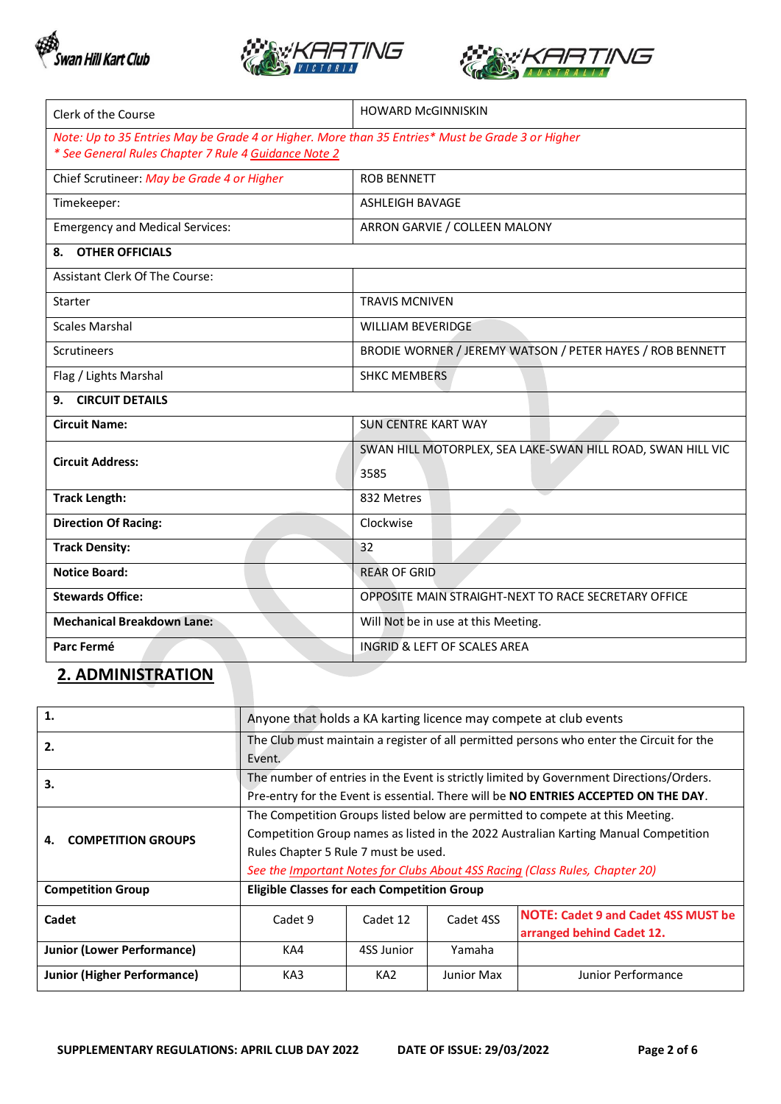





| Clerk of the Course                                                                              | <b>HOWARD McGINNISKIN</b>                                   |  |  |  |
|--------------------------------------------------------------------------------------------------|-------------------------------------------------------------|--|--|--|
| Note: Up to 35 Entries May be Grade 4 or Higher. More than 35 Entries* Must be Grade 3 or Higher |                                                             |  |  |  |
| * See General Rules Chapter 7 Rule 4 Guidance Note 2                                             |                                                             |  |  |  |
| Chief Scrutineer: May be Grade 4 or Higher                                                       | <b>ROB BENNETT</b>                                          |  |  |  |
| Timekeeper:                                                                                      | <b>ASHLEIGH BAVAGE</b>                                      |  |  |  |
| <b>Emergency and Medical Services:</b>                                                           | ARRON GARVIE / COLLEEN MALONY                               |  |  |  |
| <b>OTHER OFFICIALS</b><br>8.                                                                     |                                                             |  |  |  |
| Assistant Clerk Of The Course:                                                                   |                                                             |  |  |  |
| Starter                                                                                          | <b>TRAVIS MCNIVEN</b>                                       |  |  |  |
| <b>Scales Marshal</b>                                                                            | <b>WILLIAM BEVERIDGE</b>                                    |  |  |  |
| <b>Scrutineers</b>                                                                               | BRODIE WORNER / JEREMY WATSON / PETER HAYES / ROB BENNETT   |  |  |  |
| Flag / Lights Marshal                                                                            | <b>SHKC MEMBERS</b>                                         |  |  |  |
| <b>CIRCUIT DETAILS</b><br>9.                                                                     |                                                             |  |  |  |
| <b>Circuit Name:</b>                                                                             | <b>SUN CENTRE KART WAY</b>                                  |  |  |  |
| <b>Circuit Address:</b>                                                                          | SWAN HILL MOTORPLEX, SEA LAKE-SWAN HILL ROAD, SWAN HILL VIC |  |  |  |
|                                                                                                  | 3585                                                        |  |  |  |
| <b>Track Length:</b>                                                                             | 832 Metres                                                  |  |  |  |
| <b>Direction Of Racing:</b>                                                                      | Clockwise                                                   |  |  |  |
| <b>Track Density:</b>                                                                            | 32                                                          |  |  |  |
| <b>Notice Board:</b>                                                                             | <b>REAR OF GRID</b>                                         |  |  |  |
| <b>Stewards Office:</b>                                                                          | OPPOSITE MAIN STRAIGHT-NEXT TO RACE SECRETARY OFFICE        |  |  |  |
| <b>Mechanical Breakdown Lane:</b>                                                                | Will Not be in use at this Meeting.                         |  |  |  |
| Parc Fermé                                                                                       | <b>INGRID &amp; LEFT OF SCALES AREA</b>                     |  |  |  |

### **2. ADMINISTRATION**

| 1.                                | Anyone that holds a KA karting licence may compete at club events                                                                                                                                                                                                                            |                 |            |                                                                         |  |  |
|-----------------------------------|----------------------------------------------------------------------------------------------------------------------------------------------------------------------------------------------------------------------------------------------------------------------------------------------|-----------------|------------|-------------------------------------------------------------------------|--|--|
| 2.                                | The Club must maintain a register of all permitted persons who enter the Circuit for the<br>Event.                                                                                                                                                                                           |                 |            |                                                                         |  |  |
| 3.                                | The number of entries in the Event is strictly limited by Government Directions/Orders.<br>Pre-entry for the Event is essential. There will be NO ENTRIES ACCEPTED ON THE DAY.                                                                                                               |                 |            |                                                                         |  |  |
| <b>COMPETITION GROUPS</b><br>4.   | The Competition Groups listed below are permitted to compete at this Meeting.<br>Competition Group names as listed in the 2022 Australian Karting Manual Competition<br>Rules Chapter 5 Rule 7 must be used.<br>See the Important Notes for Clubs About 4SS Racing (Class Rules, Chapter 20) |                 |            |                                                                         |  |  |
| <b>Competition Group</b>          | <b>Eligible Classes for each Competition Group</b>                                                                                                                                                                                                                                           |                 |            |                                                                         |  |  |
| Cadet                             | Cadet 9                                                                                                                                                                                                                                                                                      | Cadet 12        | Cadet 4SS  | <b>NOTE: Cadet 9 and Cadet 4SS MUST be</b><br>arranged behind Cadet 12. |  |  |
| <b>Junior (Lower Performance)</b> | KA4                                                                                                                                                                                                                                                                                          | 4SS Junior      | Yamaha     |                                                                         |  |  |
| Junior (Higher Performance)       | KA3                                                                                                                                                                                                                                                                                          | KA <sub>2</sub> | Junior Max | Junior Performance                                                      |  |  |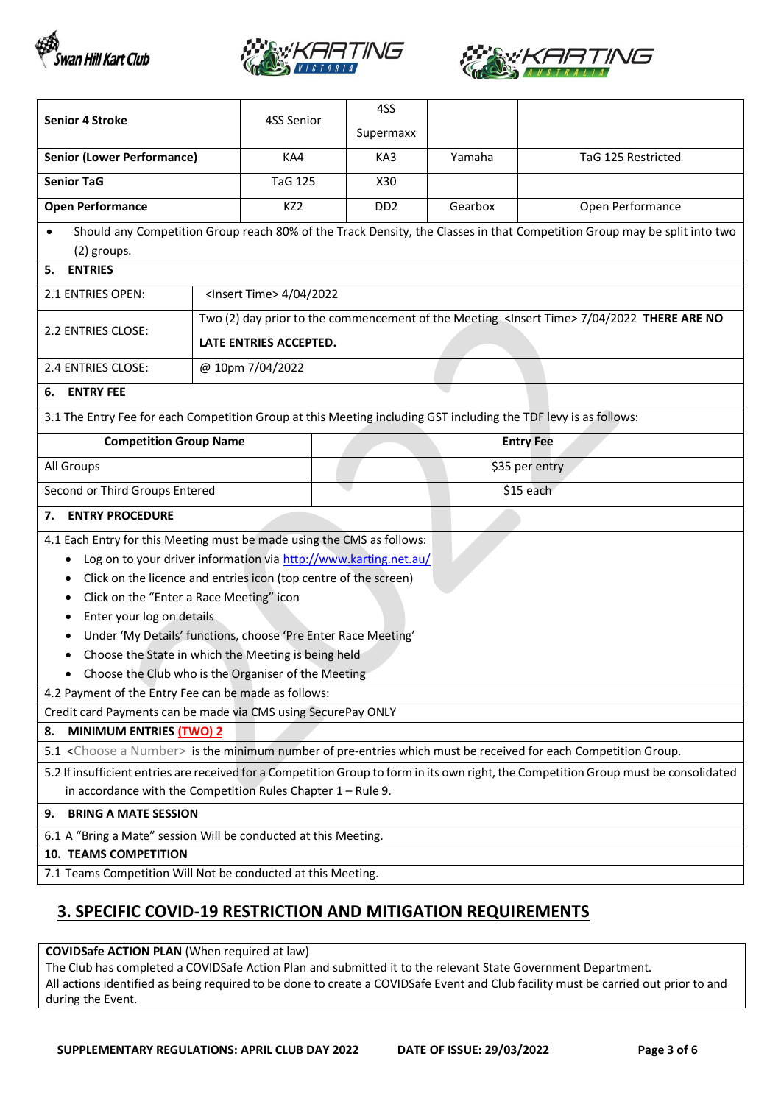





| <b>Senior 4 Stroke</b>                                                                                                                                                                                                                                                                                                                                                                                                                                                           |                                                              | 4SS Senior                                                                                                                       | 4SS<br>Supermaxx |         |                                                                                                                          |  |
|----------------------------------------------------------------------------------------------------------------------------------------------------------------------------------------------------------------------------------------------------------------------------------------------------------------------------------------------------------------------------------------------------------------------------------------------------------------------------------|--------------------------------------------------------------|----------------------------------------------------------------------------------------------------------------------------------|------------------|---------|--------------------------------------------------------------------------------------------------------------------------|--|
| <b>Senior (Lower Performance)</b>                                                                                                                                                                                                                                                                                                                                                                                                                                                |                                                              | KA4                                                                                                                              | KA3              | Yamaha  | TaG 125 Restricted                                                                                                       |  |
| <b>Senior TaG</b>                                                                                                                                                                                                                                                                                                                                                                                                                                                                |                                                              | <b>TaG 125</b>                                                                                                                   | X30              |         |                                                                                                                          |  |
| <b>Open Performance</b>                                                                                                                                                                                                                                                                                                                                                                                                                                                          |                                                              | KZ2                                                                                                                              | DD <sub>2</sub>  | Gearbox | Open Performance                                                                                                         |  |
| (2) groups.                                                                                                                                                                                                                                                                                                                                                                                                                                                                      |                                                              |                                                                                                                                  |                  |         | Should any Competition Group reach 80% of the Track Density, the Classes in that Competition Group may be split into two |  |
| <b>ENTRIES</b><br>5.                                                                                                                                                                                                                                                                                                                                                                                                                                                             |                                                              |                                                                                                                                  |                  |         |                                                                                                                          |  |
| 2.1 ENTRIES OPEN:                                                                                                                                                                                                                                                                                                                                                                                                                                                                |                                                              | <lnsert time=""> 4/04/2022</lnsert>                                                                                              |                  |         |                                                                                                                          |  |
| 2.2 ENTRIES CLOSE:                                                                                                                                                                                                                                                                                                                                                                                                                                                               |                                                              | Two (2) day prior to the commencement of the Meeting <lnsert time=""> 7/04/2022 THERE ARE NO<br/>LATE ENTRIES ACCEPTED.</lnsert> |                  |         |                                                                                                                          |  |
| 2.4 ENTRIES CLOSE:                                                                                                                                                                                                                                                                                                                                                                                                                                                               | @ 10pm 7/04/2022                                             |                                                                                                                                  |                  |         |                                                                                                                          |  |
| <b>ENTRY FEE</b><br>6.                                                                                                                                                                                                                                                                                                                                                                                                                                                           |                                                              |                                                                                                                                  |                  |         |                                                                                                                          |  |
| 3.1 The Entry Fee for each Competition Group at this Meeting including GST including the TDF levy is as follows:                                                                                                                                                                                                                                                                                                                                                                 |                                                              |                                                                                                                                  |                  |         |                                                                                                                          |  |
| <b>Competition Group Name</b>                                                                                                                                                                                                                                                                                                                                                                                                                                                    |                                                              |                                                                                                                                  |                  |         | <b>Entry Fee</b>                                                                                                         |  |
| All Groups                                                                                                                                                                                                                                                                                                                                                                                                                                                                       |                                                              |                                                                                                                                  | \$35 per entry   |         |                                                                                                                          |  |
| Second or Third Groups Entered                                                                                                                                                                                                                                                                                                                                                                                                                                                   |                                                              |                                                                                                                                  | \$15 each        |         |                                                                                                                          |  |
| <b>ENTRY PROCEDURE</b><br>7.                                                                                                                                                                                                                                                                                                                                                                                                                                                     |                                                              |                                                                                                                                  |                  |         |                                                                                                                          |  |
| 4.1 Each Entry for this Meeting must be made using the CMS as follows:<br>Log on to your driver information via http://www.karting.net.au/<br>Click on the licence and entries icon (top centre of the screen)<br>Click on the "Enter a Race Meeting" icon<br>٠<br>Enter your log on details<br>Under 'My Details' functions, choose 'Pre Enter Race Meeting'<br>٠<br>Choose the State in which the Meeting is being held<br>Choose the Club who is the Organiser of the Meeting |                                                              |                                                                                                                                  |                  |         |                                                                                                                          |  |
| 4.2 Payment of the Entry Fee can be made as follows:                                                                                                                                                                                                                                                                                                                                                                                                                             |                                                              |                                                                                                                                  |                  |         |                                                                                                                          |  |
| Credit card Payments can be made via CMS using SecurePay ONLY                                                                                                                                                                                                                                                                                                                                                                                                                    |                                                              |                                                                                                                                  |                  |         |                                                                                                                          |  |
| MINIMUM ENTRIES (TWO) 2<br>8.<br>5.1 <choose a="" number=""> is the minimum number of pre-entries which must be received for each Competition Group.</choose>                                                                                                                                                                                                                                                                                                                    |                                                              |                                                                                                                                  |                  |         |                                                                                                                          |  |
| 5.2 If insufficient entries are received for a Competition Group to form in its own right, the Competition Group must be consolidated<br>in accordance with the Competition Rules Chapter $1 -$ Rule 9.                                                                                                                                                                                                                                                                          |                                                              |                                                                                                                                  |                  |         |                                                                                                                          |  |
| <b>BRING A MATE SESSION</b><br>9.                                                                                                                                                                                                                                                                                                                                                                                                                                                |                                                              |                                                                                                                                  |                  |         |                                                                                                                          |  |
| 6.1 A "Bring a Mate" session Will be conducted at this Meeting.                                                                                                                                                                                                                                                                                                                                                                                                                  |                                                              |                                                                                                                                  |                  |         |                                                                                                                          |  |
| <b>10. TEAMS COMPETITION</b>                                                                                                                                                                                                                                                                                                                                                                                                                                                     | 7.1 Teams Competition Will Not be conducted at this Meeting. |                                                                                                                                  |                  |         |                                                                                                                          |  |
|                                                                                                                                                                                                                                                                                                                                                                                                                                                                                  |                                                              |                                                                                                                                  |                  |         |                                                                                                                          |  |

## **3. SPECIFIC COVID-19 RESTRICTION AND MITIGATION REQUIREMENTS**

**COVIDSafe ACTION PLAN** (When required at law)

The Club has completed a COVIDSafe Action Plan and submitted it to the relevant State Government Department. All actions identified as being required to be done to create a COVIDSafe Event and Club facility must be carried out prior to and during the Event.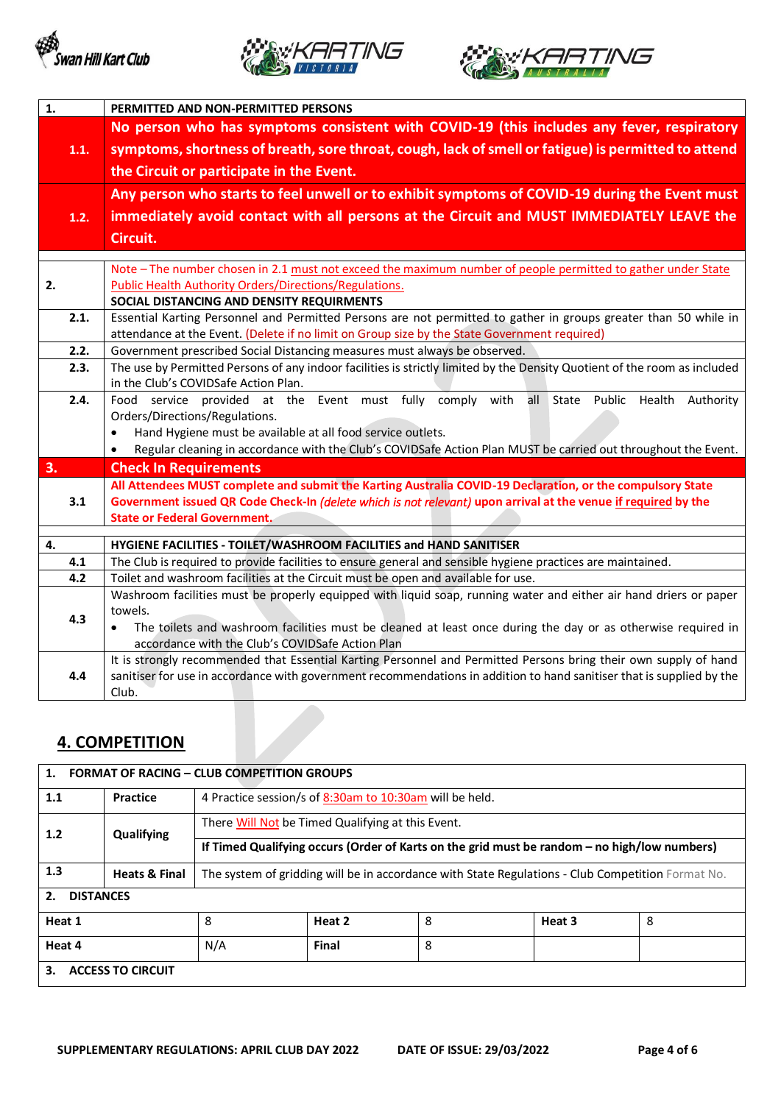





| 1.   | PERMITTED AND NON-PERMITTED PERSONS                                                                                                                               |  |  |  |  |  |  |  |
|------|-------------------------------------------------------------------------------------------------------------------------------------------------------------------|--|--|--|--|--|--|--|
|      | No person who has symptoms consistent with COVID-19 (this includes any fever, respiratory                                                                         |  |  |  |  |  |  |  |
| 1.1. | symptoms, shortness of breath, sore throat, cough, lack of smell or fatigue) is permitted to attend<br>the Circuit or participate in the Event.                   |  |  |  |  |  |  |  |
|      |                                                                                                                                                                   |  |  |  |  |  |  |  |
|      |                                                                                                                                                                   |  |  |  |  |  |  |  |
|      | Any person who starts to feel unwell or to exhibit symptoms of COVID-19 during the Event must                                                                     |  |  |  |  |  |  |  |
| 1.2. | immediately avoid contact with all persons at the Circuit and MUST IMMEDIATELY LEAVE the                                                                          |  |  |  |  |  |  |  |
|      | Circuit.                                                                                                                                                          |  |  |  |  |  |  |  |
|      |                                                                                                                                                                   |  |  |  |  |  |  |  |
|      | Note - The number chosen in 2.1 must not exceed the maximum number of people permitted to gather under State                                                      |  |  |  |  |  |  |  |
| 2.   | <b>Public Health Authority Orders/Directions/Regulations.</b>                                                                                                     |  |  |  |  |  |  |  |
|      | SOCIAL DISTANCING AND DENSITY REQUIRMENTS                                                                                                                         |  |  |  |  |  |  |  |
| 2.1. | Essential Karting Personnel and Permitted Persons are not permitted to gather in groups greater than 50 while in                                                  |  |  |  |  |  |  |  |
|      | attendance at the Event. (Delete if no limit on Group size by the State Government required)                                                                      |  |  |  |  |  |  |  |
| 2.2. | Government prescribed Social Distancing measures must always be observed.                                                                                         |  |  |  |  |  |  |  |
| 2.3. | The use by Permitted Persons of any indoor facilities is strictly limited by the Density Quotient of the room as included<br>in the Club's COVIDSafe Action Plan. |  |  |  |  |  |  |  |
| 2.4. | Food service provided at the Event must fully comply with<br>all<br>State Public<br>Health<br>Authority                                                           |  |  |  |  |  |  |  |
|      | Orders/Directions/Regulations.                                                                                                                                    |  |  |  |  |  |  |  |
|      | Hand Hygiene must be available at all food service outlets.<br>$\bullet$                                                                                          |  |  |  |  |  |  |  |
|      | Regular cleaning in accordance with the Club's COVIDSafe Action Plan MUST be carried out throughout the Event.<br>$\bullet$                                       |  |  |  |  |  |  |  |
| 3.   | <b>Check In Requirements</b>                                                                                                                                      |  |  |  |  |  |  |  |
|      | All Attendees MUST complete and submit the Karting Australia COVID-19 Declaration, or the compulsory State                                                        |  |  |  |  |  |  |  |
| 3.1  | Government issued QR Code Check-In (delete which is not relevant) upon arrival at the venue if required by the                                                    |  |  |  |  |  |  |  |
|      | <b>State or Federal Government.</b>                                                                                                                               |  |  |  |  |  |  |  |
| 4.   | HYGIENE FACILITIES - TOILET/WASHROOM FACILITIES and HAND SANITISER                                                                                                |  |  |  |  |  |  |  |
| 4.1  | The Club is required to provide facilities to ensure general and sensible hygiene practices are maintained.                                                       |  |  |  |  |  |  |  |
| 4.2  | Toilet and washroom facilities at the Circuit must be open and available for use.                                                                                 |  |  |  |  |  |  |  |
|      | Washroom facilities must be properly equipped with liquid soap, running water and either air hand driers or paper                                                 |  |  |  |  |  |  |  |
| 4.3  | towels.                                                                                                                                                           |  |  |  |  |  |  |  |
|      | The toilets and washroom facilities must be cleaned at least once during the day or as otherwise required in<br>$\bullet$                                         |  |  |  |  |  |  |  |
|      | accordance with the Club's COVIDSafe Action Plan                                                                                                                  |  |  |  |  |  |  |  |
|      | It is strongly recommended that Essential Karting Personnel and Permitted Persons bring their own supply of hand                                                  |  |  |  |  |  |  |  |
| 4.4  | sanitiser for use in accordance with government recommendations in addition to hand sanitiser that is supplied by the                                             |  |  |  |  |  |  |  |
|      | Club.                                                                                                                                                             |  |  |  |  |  |  |  |

### **4. COMPETITION**

| <b>FORMAT OF RACING - CLUB COMPETITION GROUPS</b> |                          |                                                                                                   |                                                         |   |        |   |  |
|---------------------------------------------------|--------------------------|---------------------------------------------------------------------------------------------------|---------------------------------------------------------|---|--------|---|--|
| 1.1                                               | Practice                 |                                                                                                   | 4 Practice session/s of 8:30am to 10:30am will be held. |   |        |   |  |
| 1.2                                               | Qualifying               | There Will Not be Timed Qualifying at this Event.                                                 |                                                         |   |        |   |  |
|                                                   |                          | If Timed Qualifying occurs (Order of Karts on the grid must be random - no high/low numbers)      |                                                         |   |        |   |  |
| 1.3                                               | <b>Heats &amp; Final</b> | The system of gridding will be in accordance with State Regulations - Club Competition Format No. |                                                         |   |        |   |  |
| <b>DISTANCES</b><br>2.                            |                          |                                                                                                   |                                                         |   |        |   |  |
| Heat 1                                            |                          | 8                                                                                                 | Heat 2                                                  | 8 | Heat 3 | 8 |  |
| Heat 4                                            |                          | N/A                                                                                               | Final                                                   | 8 |        |   |  |
| <b>ACCESS TO CIRCUIT</b><br>3.                    |                          |                                                                                                   |                                                         |   |        |   |  |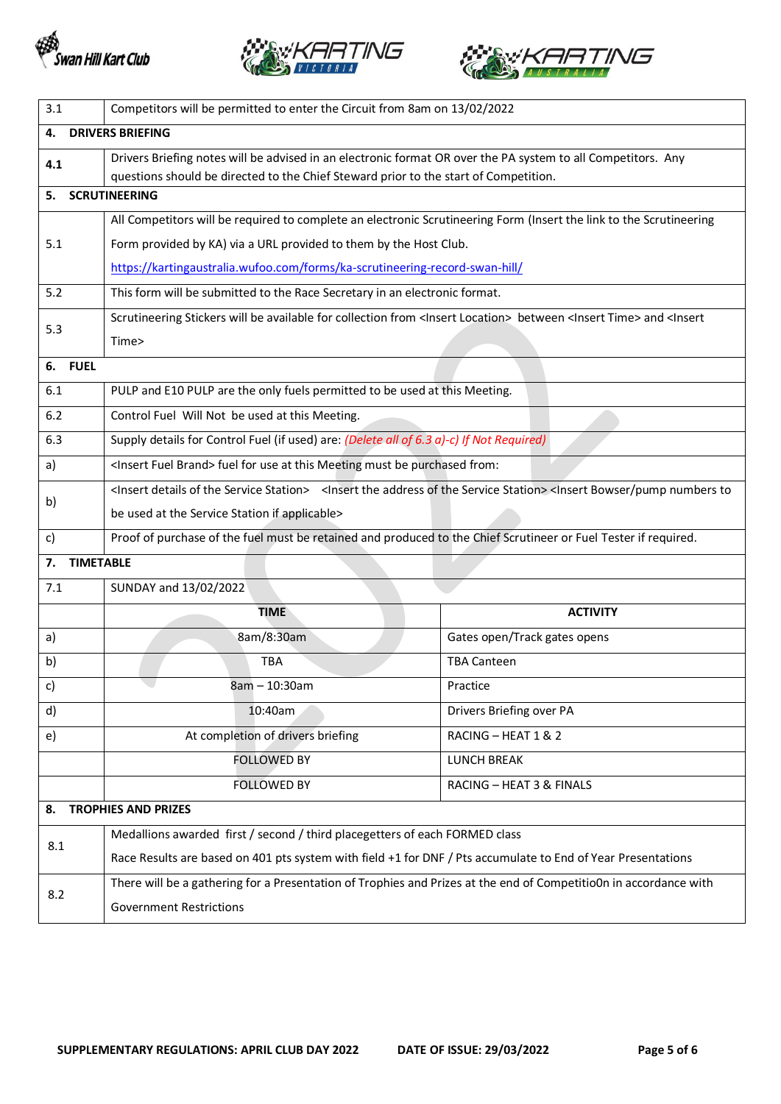





| 3.1                    | Competitors will be permitted to enter the Circuit from 8am on 13/02/2022                                                                                                                   |                              |  |  |  |  |
|------------------------|---------------------------------------------------------------------------------------------------------------------------------------------------------------------------------------------|------------------------------|--|--|--|--|
| 4.                     | <b>DRIVERS BRIEFING</b>                                                                                                                                                                     |                              |  |  |  |  |
| 4.1                    | Drivers Briefing notes will be advised in an electronic format OR over the PA system to all Competitors. Any                                                                                |                              |  |  |  |  |
|                        | questions should be directed to the Chief Steward prior to the start of Competition.                                                                                                        |                              |  |  |  |  |
| 5.                     | <b>SCRUTINEERING</b>                                                                                                                                                                        |                              |  |  |  |  |
|                        | All Competitors will be required to complete an electronic Scrutineering Form (Insert the link to the Scrutineering                                                                         |                              |  |  |  |  |
| 5.1                    | Form provided by KA) via a URL provided to them by the Host Club.                                                                                                                           |                              |  |  |  |  |
|                        | https://kartingaustralia.wufoo.com/forms/ka-scrutineering-record-swan-hill/                                                                                                                 |                              |  |  |  |  |
| 5.2                    | This form will be submitted to the Race Secretary in an electronic format.                                                                                                                  |                              |  |  |  |  |
| 5.3                    | Scrutineering Stickers will be available for collection from <lnsert location=""> between <lnsert time=""> and <lnsert< th=""></lnsert<></lnsert></lnsert>                                  |                              |  |  |  |  |
|                        | Time>                                                                                                                                                                                       |                              |  |  |  |  |
| 6. FUEL                |                                                                                                                                                                                             |                              |  |  |  |  |
| 6.1                    | PULP and E10 PULP are the only fuels permitted to be used at this Meeting.                                                                                                                  |                              |  |  |  |  |
| $6.2$                  | Control Fuel Will Not be used at this Meeting.                                                                                                                                              |                              |  |  |  |  |
| 6.3                    | Supply details for Control Fuel (if used) are: (Delete all of 6.3 a)-c) If Not Required)                                                                                                    |                              |  |  |  |  |
| a)                     | <insert brand="" fuel=""> fuel for use at this Meeting must be purchased from:</insert>                                                                                                     |                              |  |  |  |  |
|                        | <lnsert details="" of="" service="" station="" the=""> <lnsert address="" of="" service="" station="" the=""> <lnsert bowser="" numbers="" pump="" th="" to<=""></lnsert></lnsert></lnsert> |                              |  |  |  |  |
| b)                     | be used at the Service Station if applicable>                                                                                                                                               |                              |  |  |  |  |
| c)                     | Proof of purchase of the fuel must be retained and produced to the Chief Scrutineer or Fuel Tester if required.                                                                             |                              |  |  |  |  |
| 7.<br><b>TIMETABLE</b> |                                                                                                                                                                                             |                              |  |  |  |  |
| 7.1                    | SUNDAY and 13/02/2022                                                                                                                                                                       |                              |  |  |  |  |
|                        | <b>TIME</b>                                                                                                                                                                                 | <b>ACTIVITY</b>              |  |  |  |  |
| a)                     | 8am/8:30am                                                                                                                                                                                  | Gates open/Track gates opens |  |  |  |  |
| b)                     | <b>TBA</b>                                                                                                                                                                                  | <b>TBA Canteen</b>           |  |  |  |  |
| c)                     | 8am - 10:30am                                                                                                                                                                               | Practice                     |  |  |  |  |
| d)                     | 10:40am                                                                                                                                                                                     | Drivers Briefing over PA     |  |  |  |  |
| e)                     | At completion of drivers briefing                                                                                                                                                           | RACING - HEAT 1 & 2          |  |  |  |  |
|                        | <b>FOLLOWED BY</b>                                                                                                                                                                          | <b>LUNCH BREAK</b>           |  |  |  |  |
|                        | <b>FOLLOWED BY</b>                                                                                                                                                                          | RACING - HEAT 3 & FINALS     |  |  |  |  |
| 8.                     | <b>TROPHIES AND PRIZES</b>                                                                                                                                                                  |                              |  |  |  |  |
|                        | Medallions awarded first / second / third placegetters of each FORMED class                                                                                                                 |                              |  |  |  |  |
| 8.1                    | Race Results are based on 401 pts system with field +1 for DNF / Pts accumulate to End of Year Presentations                                                                                |                              |  |  |  |  |
|                        | There will be a gathering for a Presentation of Trophies and Prizes at the end of CompetitioOn in accordance with                                                                           |                              |  |  |  |  |
| 8.2                    | <b>Government Restrictions</b>                                                                                                                                                              |                              |  |  |  |  |